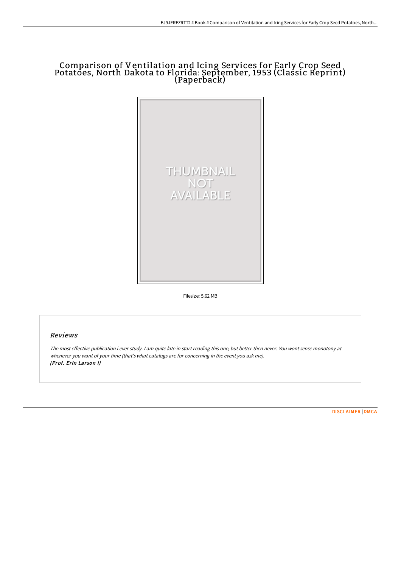## Comparison of Ventilation and Icing Services for Early Crop Seed Potatoes, North Dakota to Florida: September, 1953 (Classic Reprint) (Paperback)



Filesize: 5.62 MB

## Reviews

The most effective publication i ever study. <sup>I</sup> am quite late in start reading this one, but better then never. You wont sense monotony at whenever you want of your time (that's what catalogs are for concerning in the event you ask me). (Prof. Erin Larson I)

[DISCLAIMER](http://digilib.live/disclaimer.html) | [DMCA](http://digilib.live/dmca.html)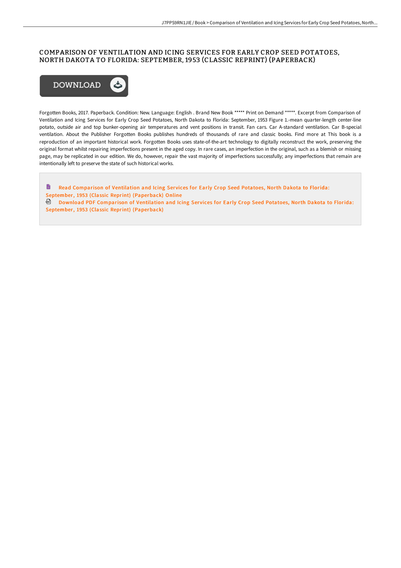## COMPARISON OF VENTILATION AND ICING SERVICES FOR EARLY CROP SEED POTATOES, NORTH DAKOTA TO FLORIDA: SEPTEMBER, 1953 (CLASSIC REPRINT) (PAPERBACK)



Forgotten Books, 2017. Paperback. Condition: New. Language: English . Brand New Book \*\*\*\*\* Print on Demand \*\*\*\*\*. Excerpt from Comparison of Ventilation and Icing Services for Early Crop Seed Potatoes, North Dakota to Florida: September, 1953 Figure 1.-mean quarter-length center-line potato, outside air and top bunker-opening air temperatures and vent positions in transit. Fan cars. Car A-standard ventilation. Car B-special ventilation. About the Publisher Forgotten Books publishes hundreds of thousands of rare and classic books. Find more at This book is a reproduction of an important historical work. Forgotten Books uses state-of-the-art technology to digitally reconstruct the work, preserving the original format whilst repairing imperfections present in the aged copy. In rare cases, an imperfection in the original, such as a blemish or missing page, may be replicated in our edition. We do, however, repair the vast majority of imperfections successfully; any imperfections that remain are intentionally left to preserve the state of such historical works.

B Read Comparison of Ventilation and Icing Services for Early Crop Seed Potatoes, North Dakota to Florida: September, 1953 (Classic Reprint) [\(Paperback\)](http://digilib.live/comparison-of-ventilation-and-icing-services-for.html) Online Download PDF Comparison of Ventilation and Icing Ser vices for Early Crop Seed Potatoes, North Dakota to Florida: September, 1953 (Classic Reprint) [\(Paperback\)](http://digilib.live/comparison-of-ventilation-and-icing-services-for.html)